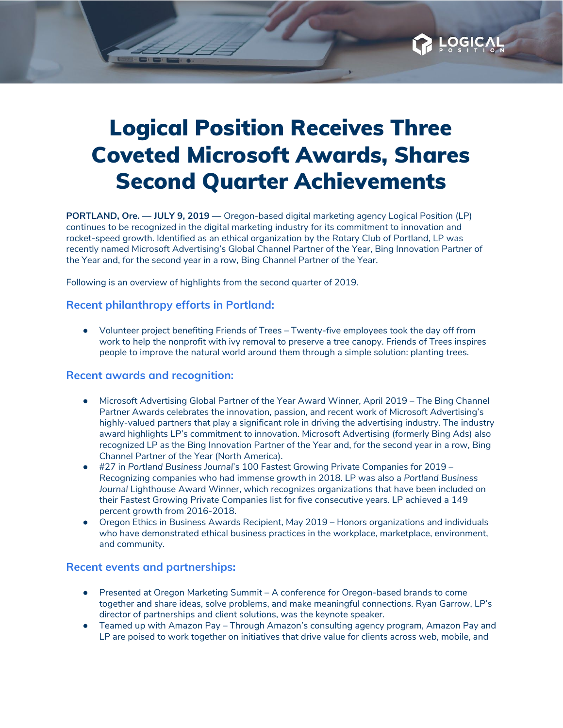

**PORTLAND, Ore. — JULY 9, 2019 —** Oregon-based digital marketing agency Logical [Position](https://www.logicalposition.com/) (LP) continues to be recognized in the digital marketing industry for its commitment to innovation and rocket-speed growth. Identified as an ethical organization by the Rotary Club of Portland, LP was recently named Microsoft Advertising's Global Channel Partner of the Year, Bing Innovation Partner of the Year and, for the second year in a row, Bing Channel Partner of the Year.

Following is an overview of highlights from the second quarter of 2019.

## **Recent philanthropy efforts in Portland:**

● Volunteer project benefiting [Friends](https://friendsoftrees.org/) of Trees – Twenty-five employees took the day off from work to help the nonprofit with ivy removal to preserve a tree canopy. Friends of Trees inspires people to improve the natural world around them through a simple solution: planting trees.

## **Recent awards and recognition:**

- Microsoft [Advertising](https://about.ads.microsoft.com/en-us/blog/post/may-2019/microsoft-advertising-2019-partner-of-the-year-award-winners) Global Partner of the Year Award Winner, April 2019 The Bing Channel Partner Awards celebrates the innovation, passion, and recent work of Microsoft Advertising's highly-valued partners that play a significant role in driving the advertising industry. The industry award highlights LP's commitment to innovation. Microsoft Advertising (formerly Bing Ads) also recognized LP as the Bing Innovation Partner of the Year and, for the second year in a row, Bing Channel Partner of the Year (North America).
- [#27](https://www.bizjournals.com/portland/news/2019/06/14/here-are-the-pbj-100-fastest-growing-companies-for.html) in *Portland [Business](https://www.bizjournals.com/portland/news/2019/06/14/here-are-the-pbj-100-fastest-growing-companies-for.html) Journal*'s 100 Fastest Growing Private [Companies](https://www.bizjournals.com/portland/news/2019/06/14/here-are-the-pbj-100-fastest-growing-companies-for.html) for 2019 Recognizing companies who had immense growth in 2018. LP was also a *Portland Business Journal* Lighthouse Award Winner, which recognizes organizations that have been included on their Fastest Growing Private Companies list for five consecutive years. LP achieved a 149 percent growth from 2016-2018.
- Oregon Ethics in Business Awards [Recipient](http://www.oregonethicsinbusiness.org/), May 2019 Honors organizations and individuals who have demonstrated ethical business practices in the workplace, marketplace, environment, and community.

## **Recent events and partnerships:**

- [Presented](https://www.oregonmarketingsummit.com/) at Oregon Marketing Summit A conference for Oregon-based brands to come together and share ideas, solve problems, and make meaningful connections. Ryan Garrow, LP's director of partnerships and client solutions, was the keynote speaker.
- Teamed up with [Amazon](https://pay.amazon.com/blog/partner-spotlight-logical-position) Pay Through Amazon's consulting agency program, Amazon Pay and LP are poised to work together on initiatives that drive value for clients across web, mobile, and